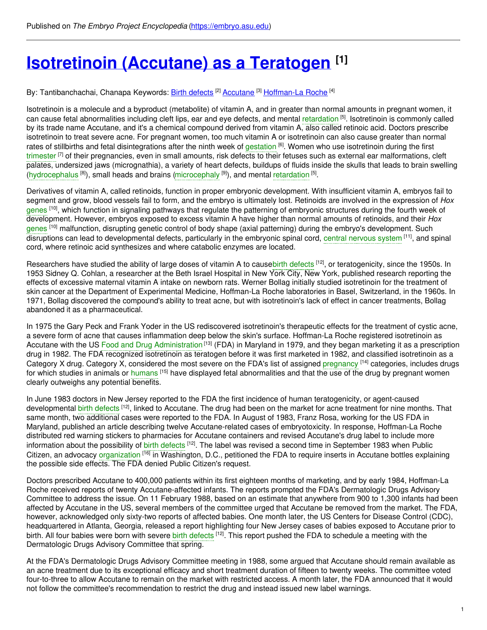# **[Isotretinoin](https://embryo.asu.edu/pages/isotretinoin-accutane-teratogen) (Accutane) as a Teratogen [1]**

By: Tantibanchachai, Chanapa Keywords: <u>Birth [defects](https://embryo.asu.edu/keywords/birth-defects)</u> [2] <u>[Accutane](https://embryo.asu.edu/keywords/accutane)</u> [3] <u>[Hoffman-La](https://embryo.asu.edu/keywords/hoffman-la-roche) Roche</u> [4]

Isotretinoin is a molecule and a byproduct (metabolite) of vitamin A, and in greater than normal amounts in pregnant women, it can cause fetal abnormalities including cleft lips, ear and eye defects, and mental [retardation](https://embryo.asu.edu/search?text=retardation) <sup>[5]</sup>. Isotretinoin is commonly called by its trade name Accutane, and it's a chemical compound derived from vitamin A, also called retinoic acid. Doctors prescribe isotretinoin to treat severe acne. For pregnant women, too much vitamin A or isotretinoin can also cause greater than normal rates of stillbirths and fetal disintegrations after the ninth week of [gestation](https://embryo.asu.edu/search?text=gestation) <sup>[6]</sup>. Women who use isotretinoin during the first [trimester](https://embryo.asu.edu/search?text=trimester) <sup>[7]</sup> of their pregnancies, even in small amounts, risk defects to their fetuses such as external ear malformations, cleft palates, undersized jaws (micrognathia), a variety of heart defects, buildups of fluids inside the skulls that leads to brain swelling [\(hydrocephalus](https://embryo.asu.edu/search?text=hydrocephalus) <sup>[8]</sup>), small heads and brains [\(microcephaly](https://embryo.asu.edu/search?text=microcephaly) <sup>[9]</sup>), and mental [retardation](https://embryo.asu.edu/search?text=retardation) <sup>[5]</sup>.

Derivatives of vitamin A, called retinoids, function in proper embryonic development. With insufficient vitamin A, embryos fail to segment and grow, blood vessels fail to form, and the embryo is ultimately lost. Retinoids are involved in the expression of *Hox* [genes](https://embryo.asu.edu/search?text=genes) <sup>[10]</sup>, which function in signaling pathways that regulate the patterning of embryonic structures during the fourth week of development. However, embryos exposed to excess vitamin A have higher than normal amounts of retinoids, and their *Hox* [genes](https://embryo.asu.edu/search?text=genes) <sup>[10]</sup> malfunction, disrupting genetic control of body shape (axial patterning) during the embryo's development. Such disruptions can lead to developmental defects, particularly in the embryonic spinal cord, central [nervous](https://embryo.asu.edu/search?text=central%20nervous%20system) system [11], and spinal cord, where retinoic acid synthesizes and where catabolic enzymes are located.

Researchers have studied the ability of large doses of vitamin A to causebirth [defects](https://embryo.asu.edu/search?text=birth%20defects) <sup>[12]</sup>, or teratogenicity, since the 1950s. In 1953 Sidney Q. Cohlan, a researcher at the Beth Israel Hospital in New York City, New York, published research reporting the effects of excessive maternal vitamin A intake on newborn rats. Werner Bollag initially studied isotretinoin for the treatment of skin cancer at the Department of Experimental Medicine, Hoffman-La Roche laboratories in Basel, Switzerland, in the 1960s. In 1971, Bollag discovered the compound's ability to treat acne, but with isotretinoin's lack of effect in cancer treatments, Bollag abandoned it as a pharmaceutical.

In 1975 the Gary Peck and Frank Yoder in the US rediscovered isotretinoin's therapeutic effects for the treatment of cystic acne, a severe form of acne that causes inflammation deep below the skin's surface. Hoffman-La Roche registered isotretinoin as Accutane with the US Food and Drug [Administration](https://embryo.asu.edu/search?text=Food%20and%20Drug%20Administration)<sup>[13]</sup> (FDA) in Maryland in 1979, and they began marketing it as a prescription drug in 1982. The FDA recognized isotretinoin as teratogen before it was first marketed in 1982, and classified isotretinoin as a Category X drug. Category X, considered the most severe on the FDA's list of assigned [pregnancy](https://embryo.asu.edu/search?text=pregnancy) <sup>[14]</sup> categories, includes drugs for which studies in animals or [humans](https://embryo.asu.edu/search?text=humans) <sup>[15]</sup> have displayed fetal abnormalities and that the use of the drug by pregnant women clearly outweighs any potential benefits.

In June 1983 doctors in New Jersey reported to the FDA the first incidence of human teratogenicity, or agent-caused developmental <mark>birth [defects](https://embryo.asu.edu/search?text=birth%20defects) <sup>[12]</sup>, linked to Accutane. The drug had been on the market for acne treatment for nine months. That</mark> same month, two additional cases were reported to the FDA. In August of 1983, Franz Rosa, working for the US FDA in Maryland, published an article describing twelve Accutane-related cases of embryotoxicity. In response, Hoffman-La Roche distributed red warning stickers to pharmacies for Accutane containers and revised Accutane's drug label to include more information about the possibility of birth [defects](https://embryo.asu.edu/search?text=birth%20defects) <sup>[12]</sup>. The label was revised a second time in September 1983 when Public Citizen, an advocacy [organization](https://embryo.asu.edu/search?text=organization) <sup>[16]</sup> in Washington, D.C., petitioned the FDA to require inserts in Accutane bottles explaining the possible side effects. The FDA denied Public Citizen's request.

Doctors prescribed Accutane to 400,000 patients within its first eighteen months of marketing, and by early 1984, Hoffman-La Roche received reports of twenty Accutane-affected infants. The reports prompted the FDA's Dermatologic Drugs Advisory Committee to address the issue. On 11 February 1988, based on an estimate that anywhere from 900 to 1,300 infants had been affected by Accutane in the US, several members of the committee urged that Accutane be removed from the market. The FDA, however, acknowledged only sixty-two reports of affected babies. One month later, the US Centers for Disease Control (CDC), headquartered in Atlanta, Georgia, released a report highlighting four New Jersey cases of babies exposed to Accutane prior to birth. All four babies were born with severe birth [defects](https://embryo.asu.edu/search?text=birth%20defects) <sup>[12]</sup>. This report pushed the FDA to schedule a meeting with the Dermatologic Drugs Advisory Committee that spring.

At the FDA's Dermatologic Drugs Advisory Committee meeting in 1988, some argued that Accutane should remain available as an acne treatment due to its exceptional efficacy and short treatment duration of fifteen to twenty weeks. The committee voted four-to-three to allow Accutane to remain on the market with restricted access. A month later, the FDA announced that it would not follow the committee's recommendation to restrict the drug and instead issued new label warnings.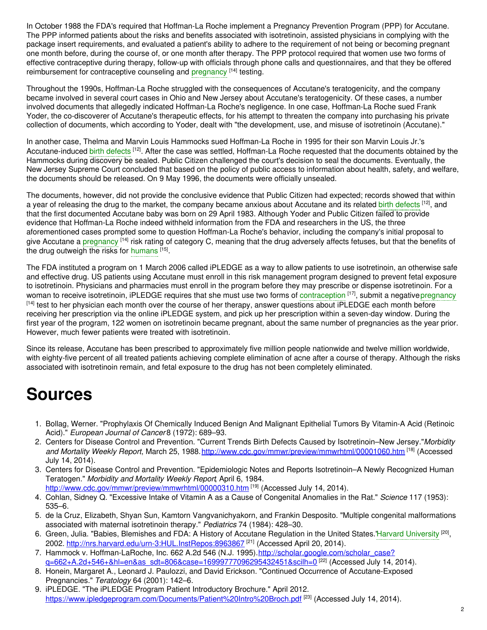In October 1988 the FDA's required that Hoffman-La Roche implement a Pregnancy Prevention Program (PPP) for Accutane. The PPP informed patients about the risks and benefits associated with isotretinoin, assisted physicians in complying with the package insert requirements, and evaluated a patient's ability to adhere to the requirement of not being or becoming pregnant one month before, during the course of, or one month after therapy. The PPP protocol required that women use two forms of effective contraceptive during therapy, follow-up with officials through phone calls and questionnaires, and that they be offered reimbursement for contraceptive counseling and [pregnancy](https://embryo.asu.edu/search?text=pregnancy) [14] testing.

Throughout the 1990s, Hoffman-La Roche struggled with the consequences of Accutane's teratogenicity, and the company became involved in several court cases in Ohio and New Jersey about Accutane's teratogenicity. Of these cases, a number involved documents that allegedly indicated Hoffman-La Roche's negligence. In one case, Hoffman-La Roche sued Frank Yoder, the co-discoverer of Accutane's therapeutic effects, for his attempt to threaten the company into purchasing his private collection of documents, which according to Yoder, dealt with "the development, use, and misuse of isotretinoin (Accutane)."

In another case, Thelma and Marvin Louis Hammocks sued Hoffman-La Roche in 1995 for their son Marvin Louis Jr.'s Accutane-induced birth [defects](https://embryo.asu.edu/search?text=birth%20defects) <sup>[12]</sup>. After the case was settled, Hoffman-La Roche requested that the documents obtained by the Hammocks during discovery be sealed. Public Citizen challenged the court's decision to seal the documents. Eventually, the New Jersey Supreme Court concluded that based on the policy of public access to information about health, safety, and welfare, the documents should be released. On 9 May 1996, the documents were officially unsealed.

The documents, however, did not provide the conclusive evidence that Public Citizen had expected; records showed that within a year of releasing the drug to the market, the company became anxious about Accutane and its related birth [defects](https://embryo.asu.edu/search?text=birth%20defects) [12], and that the first documented Accutane baby was born on 29 April 1983. Although Yoder and Public Citizen failed to provide evidence that Hoffman-La Roche indeed withheld information from the FDA and researchers in the US, the three aforementioned cases prompted some to question Hoffman-La Roche's behavior, including the company's initial proposal to give Accutane a [pregnancy](https://embryo.asu.edu/search?text=pregnancy) <sup>[14]</sup> risk rating of category C, meaning that the drug adversely affects fetuses, but that the benefits of the drug outweigh the risks for [humans](https://embryo.asu.edu/search?text=humans) [15].

The FDA instituted a program on 1 March 2006 called iPLEDGE as a way to allow patients to use isotretinoin, an otherwise safe and effective drug. US patients using Accutane must enroll in this risk management program designed to prevent fetal exposure to isotretinoin. Physicians and pharmacies must enroll in the program before they may prescribe or dispense isotretinoin. For a woman to receive isotretinoin, iPLEDGE requires that she must use two forms of [contraception](https://embryo.asu.edu/search?text=contraception) [17], submit a negative [pregnancy](https://embryo.asu.edu/search?text=pregnancy) [14] test to her physician each month over the course of her therapy, answer questions about iPLEDGE each month before receiving her prescription via the online iPLEDGE system, and pick up her prescription within a seven-day window. During the first year of the program, 122 women on isotretinoin became pregnant, about the same number of pregnancies as the year prior. However, much fewer patients were treated with isotretinoin.

Since its release, Accutane has been prescribed to approximately five million people nationwide and twelve million worldwide, with eighty-five percent of all treated patients achieving complete elimination of acne after a course of therapy. Although the risks associated with isotretinoin remain, and fetal exposure to the drug has not been completely eliminated.

## **Sources**

- 1. Bollag, Werner. "Prophylaxis Of Chemically Induced Benign And Malignant Epithelial Tumors By Vitamin-A Acid (Retinoic Acid)." *European Journal of Cancer* 8 (1972): 689–93.
- 2. Centers for Disease Control and Prevention. "Current Trends Birth Defects Caused by Isotretinoin–New Jersey."*Morbidity and Mortality Weekly Report*, March 25, 1988.<http://www.cdc.gov/mmwr/preview/mmwrhtml/00001060.htm> [18] (Accessed July 14, 2014).
- 3. Centers for Disease Control and Prevention. "Epidemiologic Notes and Reports Isotretinoin–A Newly Recognized Human Teratogen." *Morbidity and Mortality Weekly Report*, April 6, 1984. <http://www.cdc.gov/mmwr/preview/mmwrhtml/00000310.htm> [19] (Accessed July 14, 2014).
- 4. Cohlan, Sidney Q. "Excessive Intake of Vitamin A as a Cause of Congenital Anomalies in the Rat." *Science* 117 (1953): 535–6.
- 5. de la Cruz, Elizabeth, Shyan Sun, Kamtorn Vangvanichyakorn, and Frankin Desposito. "Multiple congenital malformations associated with maternal isotretinoin therapy." *Pediatrics* 74 (1984): 428–30.
- 6. Green, Julia. "Babies, Blemishes and FDA: A History of Accutane Regulation in the United States."Harvard [University](https://embryo.asu.edu/search?text=Harvard%20University) <sup>[20]</sup>, 2002. <http://nrs.harvard.edu/urn-3:HUL.InstRepos:8963867><sup>[21]</sup> (Accessed April 20, 2014).
- 7. Hammock v. Hoffman-LaRoche, Inc. 662 A.2d 546 (N.J. 1995).http://scholar.google.com/scholar\_case? <u>[q=662+A.2d+546+&hl=en&as\\_sdt=806&case=16999777096295432451&scilh=0](http://scholar.google.com/scholar_case?q=662+A.2d+546+&hl=en&as_sdt=806&case=16999777096295432451&scilh=0)</u> <sup>[22]</sup> (Accessed July 14, 2014).
- 8. Honein, Margaret A., Leonard J. Paulozzi, and David Erickson. "Continued Occurrence of Accutane-Exposed Pregnancies." *Teratology* 64 (2001): 142–6.
- 9. iPLEDGE. "The iPLEDGE Program Patient Introductory Brochure." April 2012. <https://www.ipledgeprogram.com/Documents/Patient%20Intro%20Broch.pdf> <sup>[23]</sup> (Accessed July 14, 2014).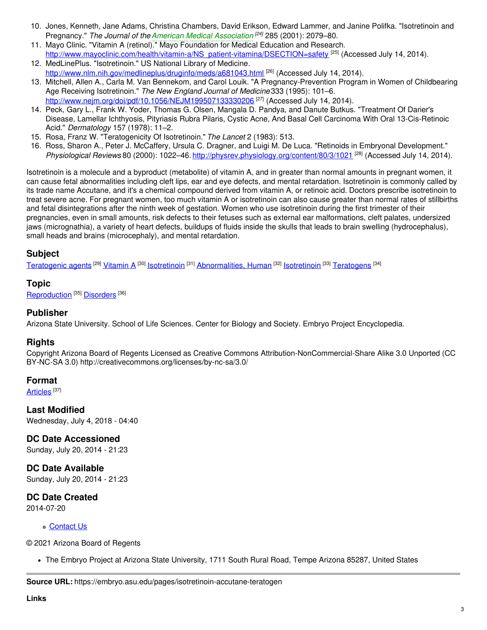- 10. Jones, Kenneth, Jane Adams, Christina Chambers, David Erikson, Edward Lammer, and Janine Polifka. "Isotretinoin and Pregnancy." *The Journal of theAmerican Medical [Association](https://embryo.asu.edu/search?text=American%20Medical%20Association) [24]* 285 (2001): 2079–80.
- 11. Mayo Clinic. "Vitamin A (retinol)." Mayo Foundation for Medical Education and Research. [http://www.mayoclinic.com/health/vitamin-a/NS\\_patient-vitamina/DSECTION=safety](http://www.mayoclinic.com/health/vitamin-a/NS_patient-vitamina/DSECTION=safety)<sup>[25]</sup> (Accessed July 14, 2014).
- 12. MedLinePlus. "Isotretinoin." US National Library of Medicine. <http://www.nlm.nih.gov/medlineplus/druginfo/meds/a681043.html> [26] (Accessed July 14, 2014).
- 13. Mitchell, Allen A., Carla M. Van Bennekom, and Carol Louik. "A Pregnancy-Prevention Program in Women of Childbearing Age Receiving Isotretinoin." *The New England Journal of Medicine* 333 (1995): 101–6. <u><http://www.nejm.org/doi/pdf/10.1056/NEJM199507133330206></u> <sup>[27]</sup> (Accessed July 14, 2014).
- 14. Peck, Gary L., Frank W. Yoder, Thomas G. Olsen, Mangala D. Pandya, and Danute Butkus. "Treatment Of Darier's Disease, Lamellar Ichthyosis, Pityriasis Rubra Pilaris, Cystic Acne, And Basal Cell Carcinoma With Oral 13-Cis-Retinoic Acid." *Dermatology* 157 (1978): 11–2.
- 15. Rosa, Franz W. "Teratogenicity Of Isotretinoin." *The Lancet* 2 (1983): 513.
- 16. Ross, Sharon A., Peter J. McCaffery, Ursula C. Dragner, and Luigi M. De Luca. "Retinoids in Embryonal Development." *Physiological Reviews* 80 (2000): 1022–46. <http://physrev.physiology.org/content/80/3/1021> [28] (Accessed July 14, 2014).

Isotretinoin is a molecule and a byproduct (metabolite) of vitamin A, and in greater than normal amounts in pregnant women, it can cause fetal abnormalities including cleft lips, ear and eye defects, and mental retardation. Isotretinoin is commonly called by its trade name Accutane, and it's a chemical compound derived from vitamin A, or retinoic acid. Doctors prescribe isotretinoin to treat severe acne. For pregnant women, too much vitamin A or isotretinoin can also cause greater than normal rates of stillbirths and fetal disintegrations after the ninth week of gestation. Women who use isotretinoin during the first trimester of their pregnancies, even in small amounts, risk defects to their fetuses such as external ear malformations, cleft palates, undersized jaws (micrognathia), a variety of heart defects, buildups of fluids inside the skulls that leads to brain swelling (hydrocephalus), small heads and brains (microcephaly), and mental retardation.

### **Subject**

<u>[Teratogenic](https://embryo.asu.edu/library-congress-subject-headings/teratogenic-agents) agents <sup>[29]</sup> [Vitamin](https://embryo.asu.edu/library-congress-subject-headings/vitamin) A</u> <sup>[30]</sup> <u>[Isotretinoin](https://embryo.asu.edu/medical-subject-headings/isotretinoin)</u> <sup>[31]</sup> [Abnormalities,](https://embryo.asu.edu/library-congress-subject-headings/abnormalities-human) Human <sup>[32]</sup> Isotretinoin <sup>[33]</sup> [Teratogens](https://embryo.asu.edu/medical-subject-headings/teratogens) <sup>[34]</sup>

#### **Topic**

[Reproduction](https://embryo.asu.edu/topics/reproduction)<sup>[35]</sup> [Disorders](https://embryo.asu.edu/topics/disorders)<sup>[36]</sup>

#### **Publisher**

Arizona State University. School of Life Sciences. Center for Biology and Society. Embryo Project Encyclopedia.

#### **Rights**

Copyright Arizona Board of Regents Licensed as Creative Commons Attribution-NonCommercial-Share Alike 3.0 Unported (CC BY-NC-SA 3.0) http://creativecommons.org/licenses/by-nc-sa/3.0/

#### **Format**

<u>[Articles](https://embryo.asu.edu/formats/articles)</u> [37]

**Last Modified** Wednesday, July 4, 2018 - 04:40

#### **DC Date Accessioned**

Sunday, July 20, 2014 - 21:23

**DC Date Available** Sunday, July 20, 2014 - 21:23

**DC Date Created** 2014-07-20

#### [Contact](https://embryo.asu.edu/contact) Us

© 2021 Arizona Board of Regents

The Embryo Project at Arizona State University, 1711 South Rural Road, Tempe Arizona 85287, United States